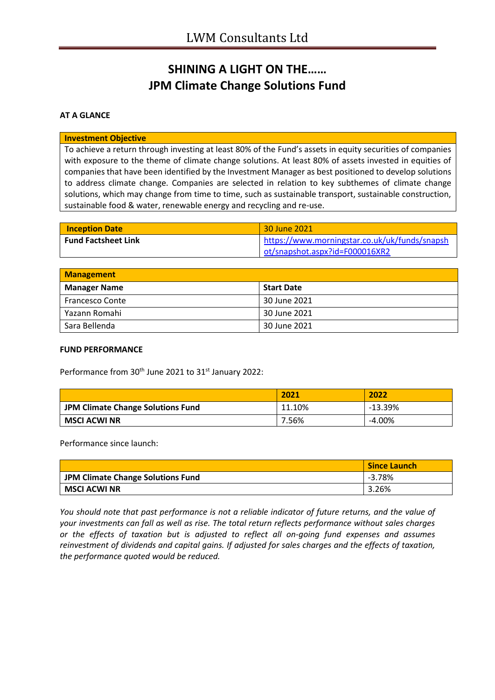## **SHINING A LIGHT ON THE…… JPM Climate Change Solutions Fund**

### **AT A GLANCE**

#### **Investment Objective**

To achieve a return through investing at least 80% of the Fund's assets in equity securities of companies with exposure to the theme of climate change solutions. At least 80% of assets invested in equities of companies that have been identified by the Investment Manager as best positioned to develop solutions to address climate change. Companies are selected in relation to key subthemes of climate change solutions, which may change from time to time, such as sustainable transport, sustainable construction, sustainable food & water, renewable energy and recycling and re-use.

| <b>Inception Date</b>      | 30 June 2021                                  |
|----------------------------|-----------------------------------------------|
| <b>Fund Factsheet Link</b> | https://www.morningstar.co.uk/uk/funds/snapsh |
|                            | ot/snapshot.aspx?id=F000016XR2                |

| <b>Management</b>   |                   |  |
|---------------------|-------------------|--|
| <b>Manager Name</b> | <b>Start Date</b> |  |
| Francesco Conte     | 30 June 2021      |  |
| Yazann Romahi       | 30 June 2021      |  |
| Sara Bellenda       | 30 June 2021      |  |

#### **FUND PERFORMANCE**

Performance from 30<sup>th</sup> June 2021 to 31<sup>st</sup> January 2022:

|                                          | 2021   | 2022      |
|------------------------------------------|--------|-----------|
| <b>JPM Climate Change Solutions Fund</b> | 11.10% | $-13.39%$ |
| <b>MSCI ACWI NR</b>                      | 7.56%  | $-4.00\%$ |

Performance since launch:

|                                   | <b>Since Launch</b> |
|-----------------------------------|---------------------|
| JPM Climate Change Solutions Fund | $-3.78%$            |
| MSCI ACWI NR                      | 3.26%               |

*You should note that past performance is not a reliable indicator of future returns, and the value of your investments can fall as well as rise. The total return reflects performance without sales charges or the effects of taxation but is adjusted to reflect all on-going fund expenses and assumes reinvestment of dividends and capital gains. If adjusted for sales charges and the effects of taxation, the performance quoted would be reduced.*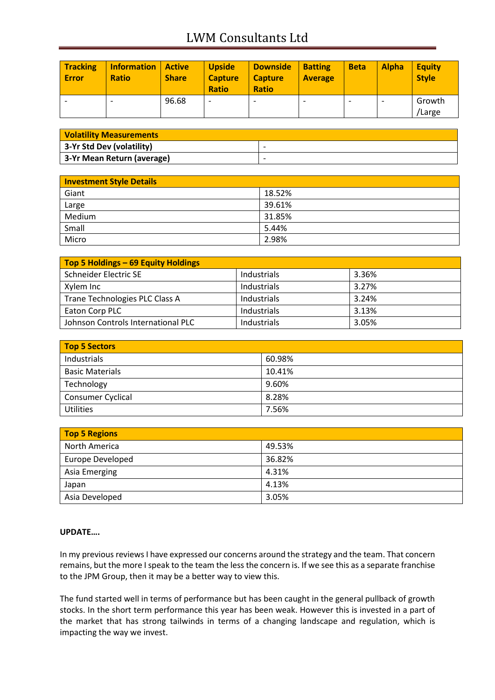# LWM Consultants Ltd

| <b>Tracking</b><br><b>Error</b> | <b>Information</b><br><b>Ratio</b> | <b>Active</b><br><b>Share</b> | <b>Upside</b><br><b>Capture</b><br><b>Ratio</b> | <b>Downside</b><br><b>Capture</b><br><b>Ratio</b> | <b>Batting</b><br><b>Average</b> | <b>Beta</b>              | <b>Alpha</b> | <b>Equity</b><br><b>Style</b> |
|---------------------------------|------------------------------------|-------------------------------|-------------------------------------------------|---------------------------------------------------|----------------------------------|--------------------------|--------------|-------------------------------|
|                                 |                                    | 96.68                         |                                                 | $\overline{\phantom{0}}$                          |                                  | $\overline{\phantom{0}}$ | ۰            | Growth<br>/Large              |

| <b>Volatility Measurements</b> |                          |
|--------------------------------|--------------------------|
| 3-Yr Std Dev (volatility)      | $\overline{\phantom{0}}$ |
| 3-Yr Mean Return (average)     | $\overline{\phantom{0}}$ |

| <b>Investment Style Details</b> |        |  |
|---------------------------------|--------|--|
| Giant                           | 18.52% |  |
| Large                           | 39.61% |  |
| Medium                          | 31.85% |  |
| Small                           | 5.44%  |  |
| Micro                           | 2.98%  |  |

| Top 5 Holdings - 69 Equity Holdings |             |       |  |
|-------------------------------------|-------------|-------|--|
| Schneider Electric SE               | Industrials | 3.36% |  |
| Xylem Inc                           | Industrials | 3.27% |  |
| Trane Technologies PLC Class A      | Industrials | 3.24% |  |
| Eaton Corp PLC                      | Industrials | 3.13% |  |
| Johnson Controls International PLC  | Industrials | 3.05% |  |

| <b>Top 5 Sectors</b>     |        |  |
|--------------------------|--------|--|
| Industrials              | 60.98% |  |
| <b>Basic Materials</b>   | 10.41% |  |
| Technology               | 9.60%  |  |
| <b>Consumer Cyclical</b> | 8.28%  |  |
| <b>Utilities</b>         | 7.56%  |  |

| <b>Top 5 Regions</b> |        |  |
|----------------------|--------|--|
| North America        | 49.53% |  |
| Europe Developed     | 36.82% |  |
| Asia Emerging        | 4.31%  |  |
| Japan                | 4.13%  |  |
| Asia Developed       | 3.05%  |  |

### **UPDATE….**

In my previous reviews I have expressed our concerns around the strategy and the team. That concern remains, but the more I speak to the team the less the concern is. If we see this as a separate franchise to the JPM Group, then it may be a better way to view this.

The fund started well in terms of performance but has been caught in the general pullback of growth stocks. In the short term performance this year has been weak. However this is invested in a part of the market that has strong tailwinds in terms of a changing landscape and regulation, which is impacting the way we invest.